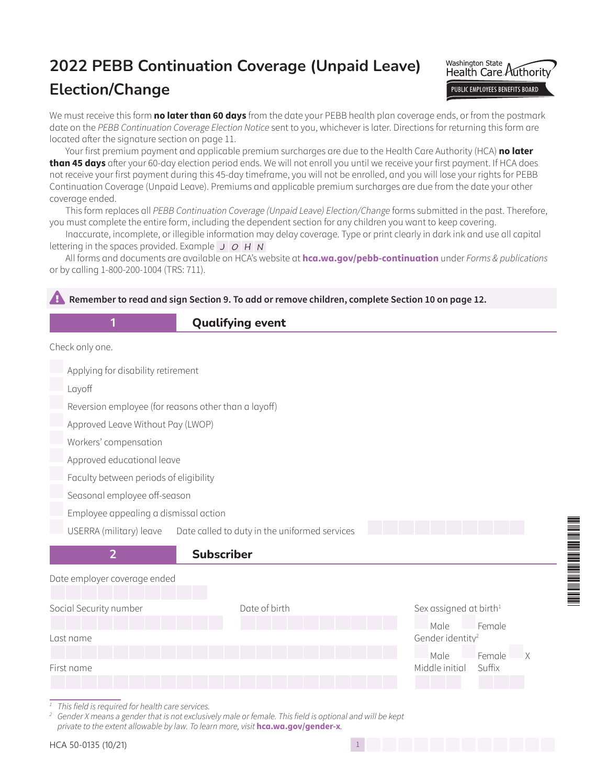# **2022 PEBB Continuation Coverage (Unpaid Leave)**

# **Election/Change**



We must receive this form **no later than 60 days** from the date your PEBB health plan coverage ends, or from the postmark date on the *PEBB Continuation Coverage Election Notice* sent to you, whichever is later. Directions for returning this form are located after the signature section on page 11.

Your first premium payment and applicable premium surcharges are due to the Health Care Authority (HCA) **no later than 45 days** after your 60-day election period ends. We will not enroll you until we receive your first payment. If HCA does not receive your first payment during this 45-day timeframe, you will not be enrolled, and you will lose your rights for PEBB Continuation Coverage (Unpaid Leave). Premiums and applicable premium surcharges are due from the date your other coverage ended.

This form replaces all *PEBB Continuation Coverage (Unpaid Leave) Election/Change* forms submitted in the past. Therefore, you must complete the entire form, including the dependent section for any children you want to keep covering.

Inaccurate, incomplete, or illegible information may delay coverage. Type or print clearly in dark ink and use all capital lettering in the spaces provided. Example  $J$   $O$   $H$   $N$ 

All forms and documents are available on HCA's website at **[hca.wa.gov/pebb-continuation](http://hca.wa.gov/pebb-continuation)** under *Forms & publications* or by calling 1-800-200-1004 (TRS: 711).

### Remember to read and sign Section 9. To add or remove children, complete Section 10 on page 12.

### **1 Qualifying event**

Check only one.

Applying for disability retirement

Layoff

Reversion employee (for reasons other than a layoff)

Approved Leave Without Pay (LWOP)

Workers' compensation

Approved educational leave

Faculty between periods of eligibility

Seasonal employee off-season

Employee appealing a dismissal action

USERRA (military) leave Date called to duty in the uniformed services



#### Date employer coverage ended



Male Female

\*50-0135\*

Male Female

*<sup>1</sup> This field is required for health care services.*

*<sup>2</sup> Gender X means a gender that is not exclusively male or female. This field is optional and will be kept private to the extent allowable by law. To learn more, visit* **hca.wa.gov/gender-x***.*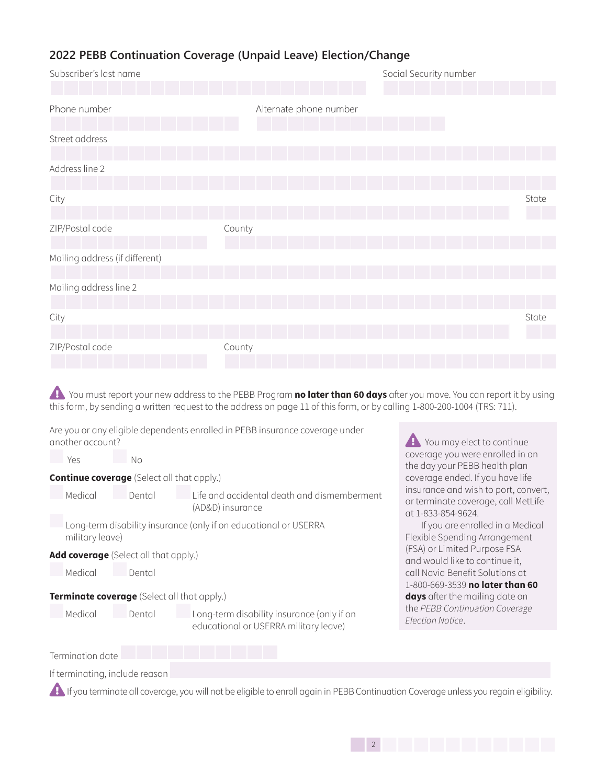| Subscriber's last name         |                        | Social Security number |
|--------------------------------|------------------------|------------------------|
| Phone number                   | Alternate phone number |                        |
| Street address                 |                        |                        |
| Address line 2                 |                        |                        |
| City                           |                        | State                  |
| ZIP/Postal code                | County                 |                        |
| Mailing address (if different) |                        |                        |
| Mailing address line 2         |                        |                        |
| City                           |                        | State                  |
| ZIP/Postal code                | County                 |                        |

**Example You must report your new address to the PEBB Program <b>no later than 60 days** after you move. You can report it by using this form, by sending a written request to the address on page 11 of this form, or by calling 1-800-200-1004 (TRS: 711).

Are you or any eligible dependents enrolled in PEBB insurance coverage under another account?

Medical Dental Long-term disability insurance (only if on

| Yes |                 | Nο                                                |                                                                  |
|-----|-----------------|---------------------------------------------------|------------------------------------------------------------------|
|     |                 | <b>Continue coverage</b> (Select all that apply.) |                                                                  |
|     | Medical         | Dental                                            | Life and accidental death and dismemberment<br>(AD&D) insurance  |
|     | military leave) |                                                   | Long-term disability insurance (only if on educational or USERRA |

**Add coverage** (Select all that apply.)

| Medical | Dental |
|---------|--------|
|---------|--------|

**Terminate coverage** (Select all that apply.)

Termination date

If terminating, include reason

**1.** If you terminate all coverage, you will not be eligible to enroll again in PEBB Continuation Coverage unless you regain eligibility.

educational or USERRA military leave)

**P** You may elect to continue coverage you were enrolled in on the day your PEBB health plan coverage ended. If you have life insurance and wish to port, convert, or terminate coverage, call MetLife at 1-833-854-9624.

If you are enrolled in a Medical Flexible Spending Arrangement (FSA) or Limited Purpose FSA and would like to continue it, call Navia Benefit Solutions at 1-800-669-3539 **no later than 60 days** after the mailing date on the *PEBB Continuation Coverage Election Notice*.

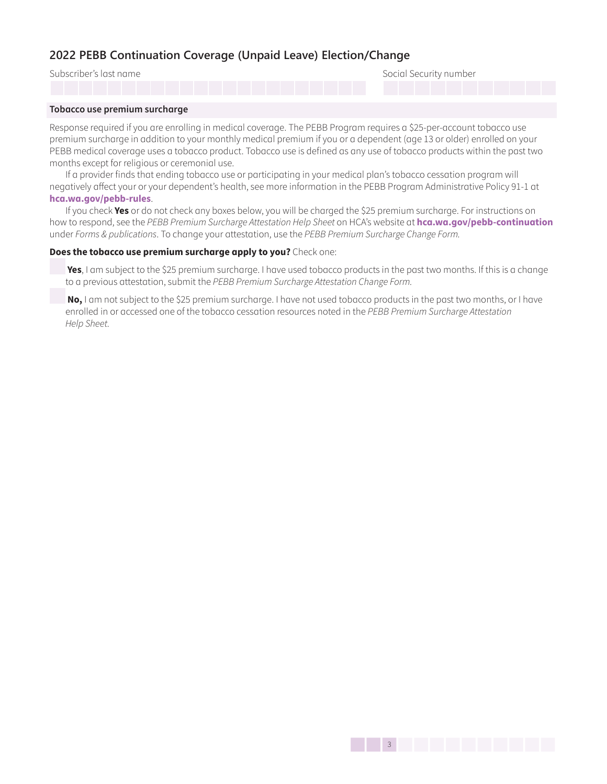Subscriber's last name Social Security number

1333 | 1333 | 1333 | 1333 | 1333 | 1333 | 1333 | 1333 | 1333 | 1333 | 1333 | 1333 | 1333 | 1333 | 1333 | 1333

#### **Tobacco use premium surcharge**

Response required if you are enrolling in medical coverage. The PEBB Program requires a \$25-per-account tobacco use premium surcharge in addition to your monthly medical premium if you or a dependent (age 13 or older) enrolled on your PEBB medical coverage uses a tobacco product. Tobacco use is defined as any use of tobacco products within the past two months except for religious or ceremonial use.

If a provider finds that ending tobacco use or participating in your medical plan's tobacco cessation program will negatively affect your or your dependent's health, see more information in the PEBB Program Administrative Policy 91-1 at **[hca.wa.gov/pebb-rules](http://hca.wa.gov/pebb-rules)**.

If you check **Yes** or do not check any boxes below, you will be charged the \$25 premium surcharge. For instructions on how to respond, see the *PEBB Premium Surcharge Attestation Help Sheet* on HCA's website at **[hca.wa.gov/pebb-continuation](http://hca.wa.gov/pebb-continuation)** under *Forms & publications*. To change your attestation, use the *PEBB Premium Surcharge Change Form.*

#### **Does the tobacco use premium surcharge apply to you?** Check one:

**Yes**, I am subject to the \$25 premium surcharge. I have used tobacco products in the past two months. If this is a change to a previous attestation, submit the *PEBB Premium Surcharge Attestation Change Form.* 

**No,** I am not subject to the \$25 premium surcharge. I have not used tobacco products in the past two months, or I have enrolled in or accessed one of the tobacco cessation resources noted in the *PEBB Premium Surcharge Attestation Help Sheet.*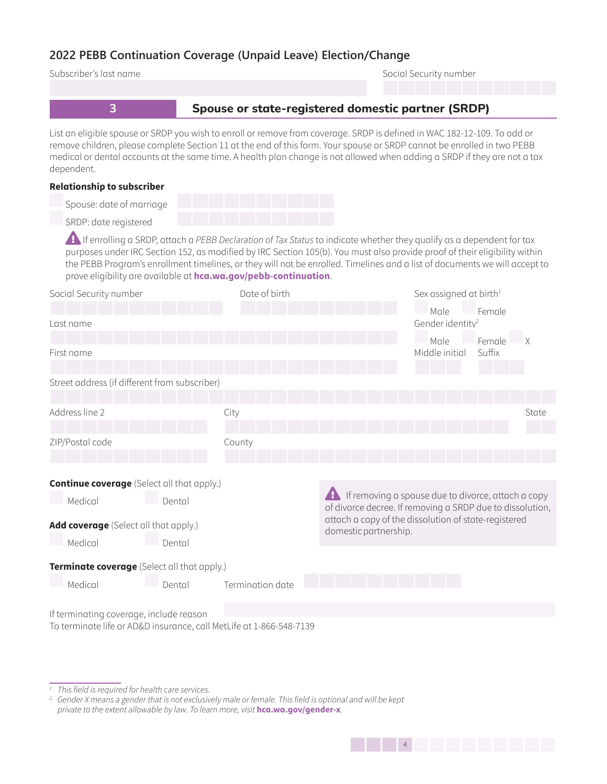| Subscriber's last name                                                                                         |                  | Social Security number                                                                                                                                                                                                                                                                                                                                                           |
|----------------------------------------------------------------------------------------------------------------|------------------|----------------------------------------------------------------------------------------------------------------------------------------------------------------------------------------------------------------------------------------------------------------------------------------------------------------------------------------------------------------------------------|
|                                                                                                                |                  |                                                                                                                                                                                                                                                                                                                                                                                  |
| 3                                                                                                              |                  | Spouse or state-registered domestic partner (SRDP)                                                                                                                                                                                                                                                                                                                               |
| dependent.                                                                                                     |                  | List an eligible spouse or SRDP you wish to enroll or remove from coverage. SRDP is defined in WAC 182-12-109. To add or<br>remove children, please complete Section 11 at the end of this form. Your spouse or SRDP cannot be enrolled in two PEBB<br>medical or dental accounts at the same time. A health plan change is not allowed when adding a SRDP if they are not a tax |
| <b>Relationship to subscriber</b>                                                                              |                  |                                                                                                                                                                                                                                                                                                                                                                                  |
| Spouse: date of marriage                                                                                       |                  |                                                                                                                                                                                                                                                                                                                                                                                  |
| SRDP: date registered                                                                                          |                  |                                                                                                                                                                                                                                                                                                                                                                                  |
| prove eligibility are available at hca.wa.gov/pebb-continuation.                                               |                  | If enrolling a SRDP, attach a PEBB Declaration of Tax Status to indicate whether they qualify as a dependent for tax<br>purposes under IRC Section 152, as modified by IRC Section 105(b). You must also provide proof of their eligibility within<br>the PEBB Program's enrollment timelines, or they will not be enrolled. Timelines and a list of documents we will accept to |
| Social Security number                                                                                         | Date of birth    | Sex assigned at birth <sup>1</sup>                                                                                                                                                                                                                                                                                                                                               |
| Last name                                                                                                      |                  | Male<br>Female<br>Gender identity <sup>2</sup>                                                                                                                                                                                                                                                                                                                                   |
| First name                                                                                                     |                  | Female<br>Male<br>Middle initial<br>Suffix                                                                                                                                                                                                                                                                                                                                       |
| Street address (if different from subscriber)                                                                  |                  |                                                                                                                                                                                                                                                                                                                                                                                  |
| Address line 2                                                                                                 | City             | State                                                                                                                                                                                                                                                                                                                                                                            |
| ZIP/Postal code                                                                                                | County           |                                                                                                                                                                                                                                                                                                                                                                                  |
|                                                                                                                |                  |                                                                                                                                                                                                                                                                                                                                                                                  |
|                                                                                                                |                  |                                                                                                                                                                                                                                                                                                                                                                                  |
| <b>Continue coverage</b> (Select all that apply.)                                                              |                  | If removing a spouse due to divorce, attach a copy                                                                                                                                                                                                                                                                                                                               |
| Medical<br>Dental                                                                                              |                  | of divorce decree. If removing a SRDP due to dissolution,                                                                                                                                                                                                                                                                                                                        |
| Add coverage (Select all that apply.)                                                                          |                  | attach a copy of the dissolution of state-registered<br>domestic partnership.                                                                                                                                                                                                                                                                                                    |
| Medical<br>Dental                                                                                              |                  |                                                                                                                                                                                                                                                                                                                                                                                  |
| Terminate coverage (Select all that apply.)                                                                    |                  |                                                                                                                                                                                                                                                                                                                                                                                  |
| Medical<br>Dental                                                                                              | Termination date |                                                                                                                                                                                                                                                                                                                                                                                  |
|                                                                                                                |                  |                                                                                                                                                                                                                                                                                                                                                                                  |
| If terminating coverage, include reason<br>To terminate life or AD&D insurance, call MetLife at 1-866-548-7139 |                  |                                                                                                                                                                                                                                                                                                                                                                                  |

*<sup>1</sup> This field is required for health care services.*

*<sup>2</sup> Gender X means a gender that is not exclusively male or female. This field is optional and will be kept private to the extent allowable by law. To learn more, visit* **hca.wa.gov/gender-x***.*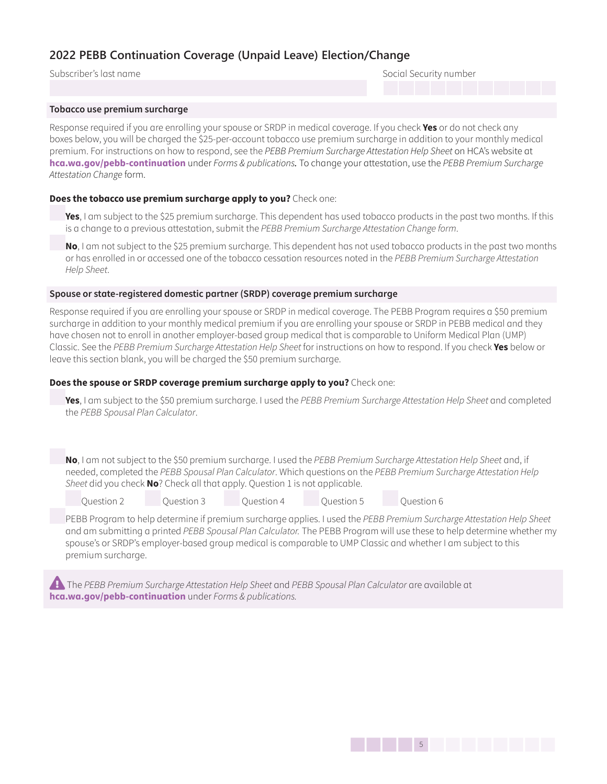Subscriber's last name Social Security number

#### **Tobacco use premium surcharge**

Response required if you are enrolling your spouse or SRDP in medical coverage. If you check **Yes** or do not check any boxes below, you will be charged the \$25-per-account tobacco use premium surcharge in addition to your monthly medical premium. For instructions on how to respond, see the *PEBB Premium Surcharge Attestation Help Sheet* on HCA's website at **[hca.wa.gov/pebb-continuation](http://hca.wa.gov/pebb-continuation)** under *Forms & publications.* To change your attestation, use the *PEBB Premium Surcharge Attestation Change* form.

#### **Does the tobacco use premium surcharge apply to you?** Check one:

**Yes**, I am subject to the \$25 premium surcharge. This dependent has used tobacco products in the past two months. If this is a change to a previous attestation, submit the *PEBB Premium Surcharge Attestation Change form*.

**No**, I am not subject to the \$25 premium surcharge. This dependent has not used tobacco products in the past two months or has enrolled in or accessed one of the tobacco cessation resources noted in the *PEBB Premium Surcharge Attestation Help Sheet*.

#### **Spouse or state-registered domestic partner (SRDP) coverage premium surcharge**

Response required if you are enrolling your spouse or SRDP in medical coverage. The PEBB Program requires a \$50 premium surcharge in addition to your monthly medical premium if you are enrolling your spouse or SRDP in PEBB medical and they have chosen not to enroll in another employer-based group medical that is comparable to Uniform Medical Plan (UMP) Classic. See the *PEBB Premium Surcharge Attestation Help Sheet* for instructions on how to respond. If you check **Yes** below or leave this section blank, you will be charged the \$50 premium surcharge.

#### **Does the spouse or SRDP coverage premium surcharge apply to you?** Check one:

**Yes**, I am subject to the \$50 premium surcharge. I used the *PEBB Premium Surcharge Attestation Help Sheet* and completed the *PEBB Spousal Plan Calculator*.

**No**, I am not subject to the \$50 premium surcharge. I used the *PEBB Premium Surcharge Attestation Help Sheet* and, if needed, completed the *PEBB Spousal Plan Calculator*. Which questions on the *PEBB Premium Surcharge Attestation Help Sheet* did you check **No**? Check all that apply. Question 1 is not applicable.

| Question 2 | Question 3 | Question 4 | Ouestion 5 | Ouestion 6 |
|------------|------------|------------|------------|------------|

PEBB Program to help determine if premium surcharge applies. I used the *PEBB Premium Surcharge Attestation Help Sheet*  and am submitting a printed *PEBB Spousal Plan Calculator.* The PEBB Program will use these to help determine whether my spouse's or SRDP's employer-based group medical is comparable to UMP Classic and whether I am subject to this premium surcharge.

**Example PEBB Premium Surcharge Attestation Help Sheet and PEBB Spousal Plan Calculator are available at [hca.wa.gov/pebb-continuation](http://hca.wa.gov/pebb-continuation)** under *Forms & publications.*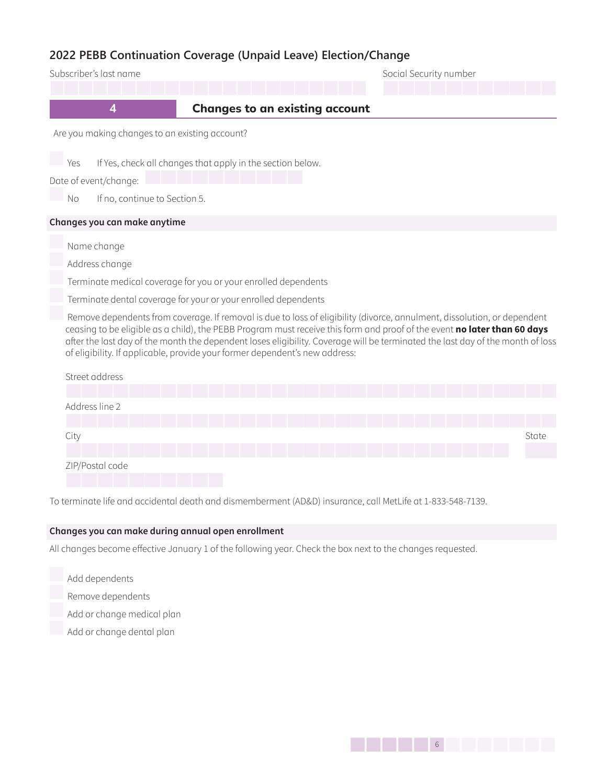| Subscriber's last name                                                                                                                                                                                                                                                                                                                                                                                                                                                |                                       |  | Social Security number |       |
|-----------------------------------------------------------------------------------------------------------------------------------------------------------------------------------------------------------------------------------------------------------------------------------------------------------------------------------------------------------------------------------------------------------------------------------------------------------------------|---------------------------------------|--|------------------------|-------|
| $\overline{\mathbf{4}}$                                                                                                                                                                                                                                                                                                                                                                                                                                               | <b>Changes to an existing account</b> |  |                        |       |
| Are you making changes to an existing account?                                                                                                                                                                                                                                                                                                                                                                                                                        |                                       |  |                        |       |
| If Yes, check all changes that apply in the section below.<br>Yes<br>Date of event/change:<br>If no, continue to Section 5.<br><b>No</b>                                                                                                                                                                                                                                                                                                                              |                                       |  |                        |       |
| Changes you can make anytime                                                                                                                                                                                                                                                                                                                                                                                                                                          |                                       |  |                        |       |
| Name change                                                                                                                                                                                                                                                                                                                                                                                                                                                           |                                       |  |                        |       |
| Address change                                                                                                                                                                                                                                                                                                                                                                                                                                                        |                                       |  |                        |       |
| Terminate medical coverage for you or your enrolled dependents                                                                                                                                                                                                                                                                                                                                                                                                        |                                       |  |                        |       |
| Terminate dental coverage for your or your enrolled dependents                                                                                                                                                                                                                                                                                                                                                                                                        |                                       |  |                        |       |
| Remove dependents from coverage. If removal is due to loss of eligibility (divorce, annulment, dissolution, or dependent<br>ceasing to be eligible as a child), the PEBB Program must receive this form and proof of the event no later than 60 days<br>after the last day of the month the dependent loses eligibility. Coverage will be terminated the last day of the month of loss<br>of eligibility. If applicable, provide your former dependent's new address: |                                       |  |                        |       |
| Street address                                                                                                                                                                                                                                                                                                                                                                                                                                                        |                                       |  |                        |       |
|                                                                                                                                                                                                                                                                                                                                                                                                                                                                       |                                       |  |                        |       |
| Address line 2                                                                                                                                                                                                                                                                                                                                                                                                                                                        |                                       |  |                        |       |
| City                                                                                                                                                                                                                                                                                                                                                                                                                                                                  |                                       |  |                        | State |
| ZIP/Postal code                                                                                                                                                                                                                                                                                                                                                                                                                                                       |                                       |  |                        |       |

To terminate life and accidental death and dismemberment (AD&D) insurance, call MetLife at 1-833-548-7139.

## **Changes you can make during annual open enrollment**

All changes become effective January 1 of the following year. Check the box next to the changes requested.

- Add dependents
- Remove dependents
- Add or change medical plan
- Add or change dental plan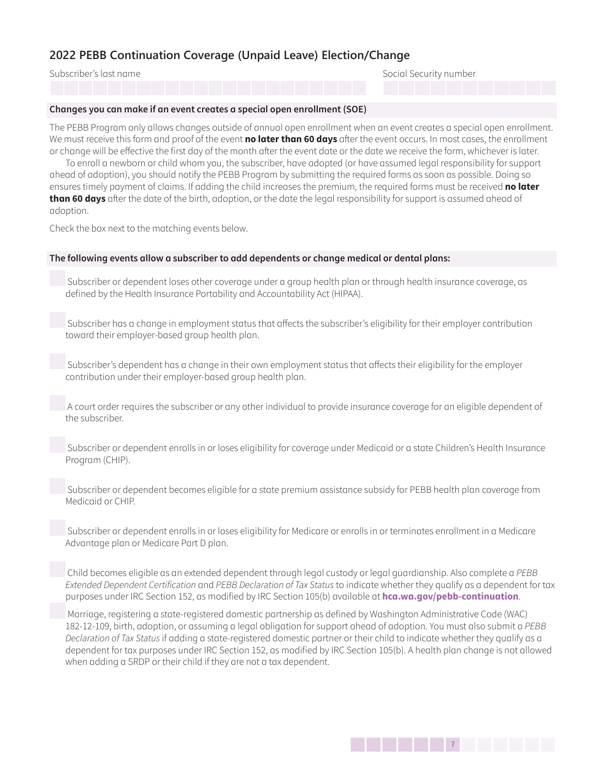Subscriber's last name Social Security number

#### **Changes you can make if an event creates a special open enrollment (SOE)**

The PEBB Program only allows changes outside of annual open enrollment when an event creates a special open enrollment. We must receive this form and proof of the event **no later than 60 days** after the event occurs. In most cases, the enrollment or change will be effective the first day of the month after the event date or the date we receive the form, whichever is later.

To enroll a newborn or child whom you, the subscriber, have adopted (or have assumed legal responsibility for support ahead of adoption), you should notify the PEBB Program by submitting the required forms as soon as possible. Doing so ensures timely payment of claims. If adding the child increases the premium, the required forms must be received **no later than 60 days** after the date of the birth, adoption, or the date the legal responsibility for support is assumed ahead of adoption.

Check the box next to the matching events below.

#### **The following events allow a subscriber to add dependents or change medical or dental plans:**

 Subscriber or dependent loses other coverage under a group health plan or through health insurance coverage, as defined by the Health Insurance Portability and Accountability Act (HIPAA).

 Subscriber has a change in employment status that affects the subscriber's eligibility for their employer contribution toward their employer-based group health plan.

 Subscriber's dependent has a change in their own employment status that affects their eligibility for the employer contribution under their employer-based group health plan.

 A court order requires the subscriber or any other individual to provide insurance coverage for an eligible dependent of the subscriber.

 Subscriber or dependent enrolls in or loses eligibility for coverage under Medicaid or a state Children's Health Insurance Program (CHIP).

 Subscriber or dependent becomes eligible for a state premium assistance subsidy for PEBB health plan coverage from Medicaid or CHIP.

 Subscriber or dependent enrolls in or loses eligibility for Medicare or enrolls in or terminates enrollment in a Medicare Advantage plan or Medicare Part D plan.

 Child becomes eligible as an extended dependent through legal custody or legal guardianship. Also complete a *PEBB Extended Dependent Certification* and *PEBB Declaration of Tax Status* to indicate whether they qualify as a dependent for tax purposes under IRC Section 152, as modified by IRC Section 105(b) available at **[hca.wa.gov/pebb-continuation](http://hca.wa.gov/pebb-continuation)**.

 Marriage, registering a state-registered domestic partnership as defined by Washington Administrative Code (WAC) 182-12-109, birth, adoption, or assuming a legal obligation for support ahead of adoption. You must also submit a *PEBB Declaration of Tax Status*if adding a state-registered domestic partner or their child to indicate whether they qualify as a dependent for tax purposes under IRC Section 152, as modified by IRC Section 105(b). A health plan change is not allowed when adding a SRDP or their child if they are not a tax dependent.

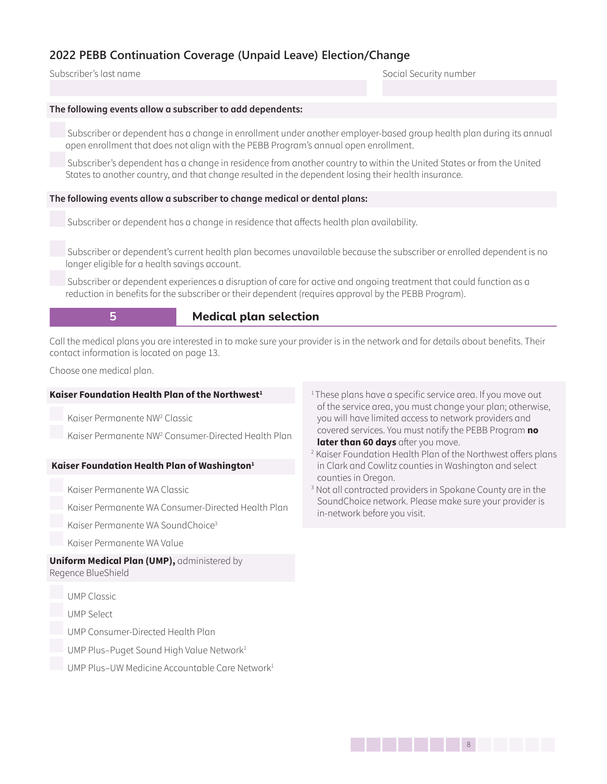Subscriber's last name Social Security number

#### **The following events allow a subscriber to add dependents:**

 Subscriber or dependent has a change in enrollment under another employer-based group health plan during its annual open enrollment that does not align with the PEBB Program's annual open enrollment.

 Subscriber's dependent has a change in residence from another country to within the United States or from the United States to another country, and that change resulted in the dependent losing their health insurance.

#### **The following events allow a subscriber to change medical or dental plans:**

Subscriber or dependent has a change in residence that affects health plan availability.

 Subscriber or dependent's current health plan becomes unavailable because the subscriber or enrolled dependent is no longer eligible for a health savings account.

 Subscriber or dependent experiences a disruption of care for active and ongoing treatment that could function as a reduction in benefits for the subscriber or their dependent (requires approval by the PEBB Program).

## **5 Medical plan selection**

Call the medical plans you are interested in to make sure your provider is in the network and for details about benefits. Their contact information is located on page 13.

Choose one medical plan.

#### **Kaiser Foundation Health Plan of the Northwest<sup>1</sup>**

Kaiser Permanente NW2 Classic

Kaiser Permanente NW2 Consumer-Directed Health Plan

#### **Kaiser Foundation Health Plan of Washington<sup>1</sup>**

Kaiser Permanente WA Classic

Kaiser Permanente WA Consumer-Directed Health Plan

Kaiser Permanente WA SoundChoice3

Kaiser Permanente WA Value

#### **Uniform Medical Plan (UMP),** administered by Regence BlueShield

UMP Classic

UMP Select

UMP Consumer-Directed Health Plan

- UMP Plus-Puget Sound High Value Network<sup>1</sup>
- UMP Plus–UW Medicine Accountable Care Network<sup>1</sup>
- <sup>1</sup>These plans have a specific service area. If you move out of the service area, you must change your plan; otherwise, you will have limited access to network providers and covered services. You must notify the PEBB Program **no later than 60 days** after you move.
- 2 Kaiser Foundation Health Plan of the Northwest offers plans in Clark and Cowlitz counties in Washington and select counties in Oregon.
- 3 Not all contracted providers in Spokane County are in the SoundChoice network. Please make sure your provider is in-network before you visit.

1388 | 1388 | 1388 | 1388 | 1388 | 1388 | 1388 | 1388 | 1388 | 1388 | 1388 | 1388 | 1388 | 1388 | 1388 | 1388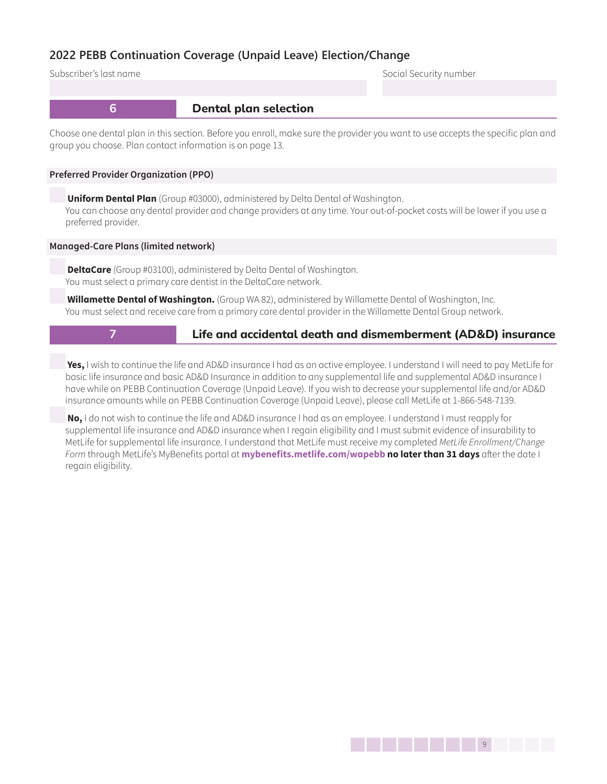Subscriber's last name Social Security number

## **6 Dental plan selection**

Choose one dental plan in this section. Before you enroll, make sure the provider you want to use accepts the specific plan and group you choose. Plan contact information is on page 13.

#### **Preferred Provider Organization (PPO)**

**Uniform Dental Plan** (Group #03000), administered by Delta Dental of Washington. You can choose any dental provider and change providers at any time. Your out-of-pocket costs will be lower if you use a preferred provider.

#### **Managed-Care Plans (limited network)**

**DeltaCare** (Group #03100), administered by Delta Dental of Washington. You must select a primary care dentist in the DeltaCare network.

**Willamette Dental of Washington.** (Group WA 82), administered by Willamette Dental of Washington, Inc. You must select and receive care from a primary care dental provider in the Willamette Dental Group network.

## **7 Life and accidental death and dismemberment (AD&D) insurance**

**Yes,** I wish to continue the life and AD&D insurance I had as an active employee. I understand I will need to pay MetLife for basic life insurance and basic AD&D Insurance in addition to any supplemental life and supplemental AD&D insurance I have while on PEBB Continuation Coverage (Unpaid Leave). If you wish to decrease your supplemental life and/or AD&D insurance amounts while on PEBB Continuation Coverage (Unpaid Leave), please call MetLife at 1-866-548-7139.

**No,** I do not wish to continue the life and AD&D insurance I had as an employee. I understand I must reapply for supplemental life insurance and AD&D insurance when I regain eligibility and I must submit evidence of insurability to MetLife for supplemental life insurance. I understand that MetLife must receive my completed *MetLife Enrollment/Change Form* through MetLife's MyBenefits portal at **[mybenefits.metlife.com/wapebb](http://mybenefits.metlife.com/wapebb) no later than 31 days** after the date I regain eligibility.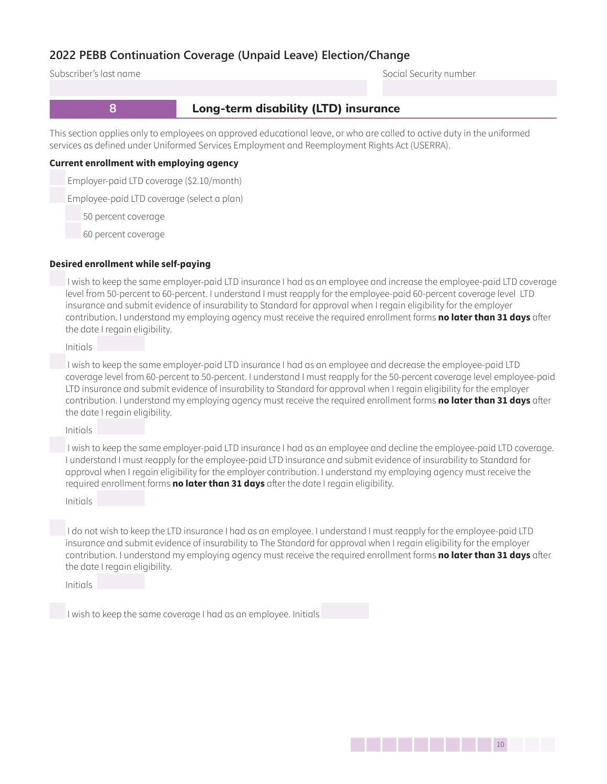Subscriber's last name Social Security number

## **8 Long-term disability (LTD) insurance**

This section applies only to employees on approved educational leave, or who are called to active duty in the uniformed services as defined under Uniformed Services Employment and Reemployment Rights Act (USERRA).

#### **Current enrollment with employing agency**

Employer-paid LTD coverage (\$2.10/month)

Employee-paid LTD coverage (select a plan)

50 percent coverage

60 percent coverage

#### **Desired enrollment while self-paying**

 I wish to keep the same employer-paid LTD insurance I had as an employee and increase the employee-paid LTD coverage level from 50-percent to 60-percent. I understand I must reapply for the employee-paid 60-percent coverage level LTD insurance and submit evidence of insurability to Standard for approval when I regain eligibility for the employer contribution. I understand my employing agency must receive the required enrollment forms **no later than 31 days** after the date I regain eligibility.

Initials

 I wish to keep the same employer-paid LTD insurance I had as an employee and decrease the employee-paid LTD coverage level from 60-percent to 50-percent. I understand I must reapply for the 50-percent coverage level employee-paid LTD insurance and submit evidence of insurability to Standard for approval when I regain eligibility for the employer contribution. I understand my employing agency must receive the required enrollment forms **no later than 31 days** after the date I regain eligibility.

Initials

 I wish to keep the same employer-paid LTD insurance I had as an employee and decline the employee-paid LTD coverage. I understand I must reapply for the employee-paid LTD insurance and submit evidence of insurability to Standard for approval when I regain eligibility for the employer contribution. I understand my employing agency must receive the required enrollment forms **no later than 31 days** after the date I regain eligibility.

Initials

 I do not wish to keep the LTD insurance I had as an employee. I understand I must reapply for the employee-paid LTD insurance and submit evidence of insurability to The Standard for approval when I regain eligibility for the employer contribution. I understand my employing agency must receive the required enrollment forms **no later than 31 days** after the date I regain eligibility.

Initials

I wish to keep the same coverage I had as an employee. Initials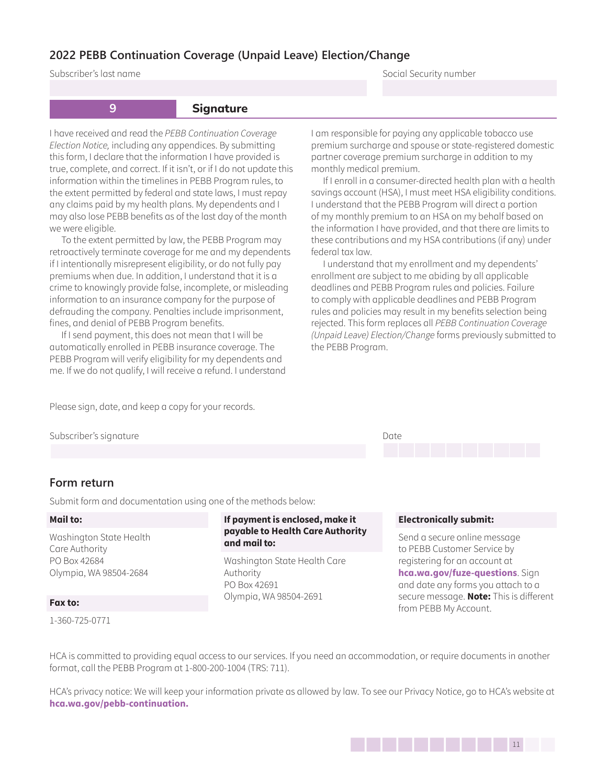Subscriber's last name Social Security number

## **9 Signature**

I have received and read the *PEBB Continuation Coverage Election Notice,* including any appendices. By submitting this form, I declare that the information I have provided is true, complete, and correct. If it isn't, or if I do not update this information within the timelines in PEBB Program rules, to the extent permitted by federal and state laws, I must repay any claims paid by my health plans. My dependents and I may also lose PEBB benefits as of the last day of the month we were eligible.

To the extent permitted by law, the PEBB Program may retroactively terminate coverage for me and my dependents if I intentionally misrepresent eligibility, or do not fully pay premiums when due. In addition, I understand that it is a crime to knowingly provide false, incomplete, or misleading information to an insurance company for the purpose of defrauding the company. Penalties include imprisonment, fines, and denial of PEBB Program benefits.

If I send payment, this does not mean that I will be automatically enrolled in PEBB insurance coverage. The PEBB Program will verify eligibility for my dependents and me. If we do not qualify, I will receive a refund. I understand I am responsible for paying any applicable tobacco use premium surcharge and spouse or state-registered domestic partner coverage premium surcharge in addition to my monthly medical premium.

If I enroll in a consumer-directed health plan with a health savings account (HSA), I must meet HSA eligibility conditions. I understand that the PEBB Program will direct a portion of my monthly premium to an HSA on my behalf based on the information I have provided, and that there are limits to these contributions and my HSA contributions (if any) under federal tax law.

I understand that my enrollment and my dependents' enrollment are subject to me abiding by all applicable deadlines and PEBB Program rules and policies. Failure to comply with applicable deadlines and PEBB Program rules and policies may result in my benefits selection being rejected. This form replaces all *PEBB Continuation Coverage (Unpaid Leave) Election/Change* forms previously submitted to the PEBB Program.

Please sign, date, and keep a copy for your records.

Subscriber's signature Date of the Date of the Date of the Date of the Date of the Date of the Date of the Date of the Date of the Date of the Date of the Date of the Date of the Date of the Date of the Date of the Date of



## **Form return**

Submit form and documentation using one of the methods below:

#### **Mail to:**

Washington State Health Care Authority PO Box 42684 Olympia, WA 98504-2684

#### **Fax to:**

1-360-725-0771

### **If payment is enclosed, make it payable to Health Care Authority and mail to:**

Washington State Health Care Authority PO Box 42691 Olympia, WA 98504-2691

#### **Electronically submit:**

Send a secure online message to PEBB Customer Service by registering for an account at **[hca.wa.gov/fuze-questions](http://hca.wa.gov/fuze-questions)**. Sign and date any forms you attach to a secure message. **Note:** This is different from PEBB My Account.

HCA is committed to providing equal access to our services. If you need an accommodation, or require documents in another format, call the PEBB Program at 1-800-200-1004 (TRS: 711).

HCA's privacy notice: We will keep your information private as allowed by law. To see our Privacy Notice, go to HCA's website at **[hca.wa.gov/pebb-continuation](http://hca.wa.gov/pebb-continuation).**

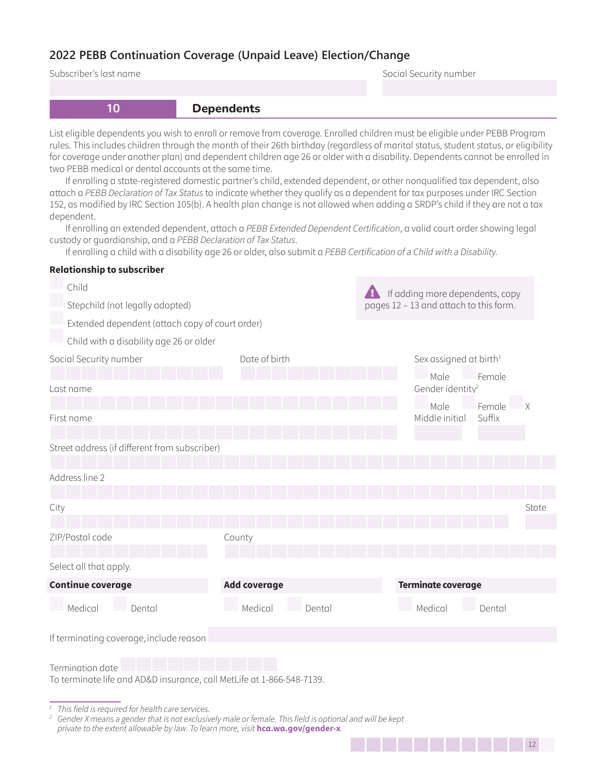Subscriber's last name **Subscriber's last name** Social Security number

| 10                                                                                                                                                                                                                                                                                                                                                                                                                                                                                                                                                                                                                                                                                                                                                                                                                                                                                                                                                                                                                                                                                                                                                                                     | <b>Dependents</b>   |        |                                                                           |                  |       |
|----------------------------------------------------------------------------------------------------------------------------------------------------------------------------------------------------------------------------------------------------------------------------------------------------------------------------------------------------------------------------------------------------------------------------------------------------------------------------------------------------------------------------------------------------------------------------------------------------------------------------------------------------------------------------------------------------------------------------------------------------------------------------------------------------------------------------------------------------------------------------------------------------------------------------------------------------------------------------------------------------------------------------------------------------------------------------------------------------------------------------------------------------------------------------------------|---------------------|--------|---------------------------------------------------------------------------|------------------|-------|
| List eligible dependents you wish to enroll or remove from coverage. Enrolled children must be eligible under PEBB Program<br>rules. This includes children through the month of their 26th birthday (regardless of marital status, student status, or eligibility<br>for coverage under another plan) and dependent children age 26 or older with a disability. Dependents cannot be enrolled in<br>two PEBB medical or dental accounts at the same time.<br>If enrolling a state-registered domestic partner's child, extended dependent, or other nonqualified tax dependent, also<br>attach a PEBB Declaration of Tax Status to indicate whether they qualify as a dependent for tax purposes under IRC Section<br>152, as modified by IRC Section 105(b). A health plan change is not allowed when adding a SRDP's child if they are not a tax<br>dependent.<br>If enrolling an extended dependent, attach a PEBB Extended Dependent Certification, a valid court order showing legal<br>custody or quardianship, and a PEBB Declaration of Tax Status.<br>If enrolling a child with a disability age 26 or older, also submit a PEBB Certification of a Child with a Disability. |                     |        |                                                                           |                  |       |
| <b>Relationship to subscriber</b>                                                                                                                                                                                                                                                                                                                                                                                                                                                                                                                                                                                                                                                                                                                                                                                                                                                                                                                                                                                                                                                                                                                                                      |                     |        |                                                                           |                  |       |
| Child<br>Stepchild (not legally adopted)                                                                                                                                                                                                                                                                                                                                                                                                                                                                                                                                                                                                                                                                                                                                                                                                                                                                                                                                                                                                                                                                                                                                               |                     |        | If adding more dependents, copy<br>pages 12 - 13 and attach to this form. |                  |       |
| Extended dependent (attach copy of court order)                                                                                                                                                                                                                                                                                                                                                                                                                                                                                                                                                                                                                                                                                                                                                                                                                                                                                                                                                                                                                                                                                                                                        |                     |        |                                                                           |                  |       |
| Child with a disability age 26 or older                                                                                                                                                                                                                                                                                                                                                                                                                                                                                                                                                                                                                                                                                                                                                                                                                                                                                                                                                                                                                                                                                                                                                | Date of birth       |        |                                                                           |                  |       |
| Social Security number                                                                                                                                                                                                                                                                                                                                                                                                                                                                                                                                                                                                                                                                                                                                                                                                                                                                                                                                                                                                                                                                                                                                                                 |                     |        | Sex assigned at birth <sup>1</sup>                                        |                  |       |
| Last name                                                                                                                                                                                                                                                                                                                                                                                                                                                                                                                                                                                                                                                                                                                                                                                                                                                                                                                                                                                                                                                                                                                                                                              |                     |        | Male<br>Gender identity <sup>2</sup>                                      | Female           |       |
| First name                                                                                                                                                                                                                                                                                                                                                                                                                                                                                                                                                                                                                                                                                                                                                                                                                                                                                                                                                                                                                                                                                                                                                                             |                     |        | Male<br>Middle initial                                                    | Female<br>Suffix |       |
| Street address (if different from subscriber)                                                                                                                                                                                                                                                                                                                                                                                                                                                                                                                                                                                                                                                                                                                                                                                                                                                                                                                                                                                                                                                                                                                                          |                     |        |                                                                           |                  |       |
|                                                                                                                                                                                                                                                                                                                                                                                                                                                                                                                                                                                                                                                                                                                                                                                                                                                                                                                                                                                                                                                                                                                                                                                        |                     |        |                                                                           |                  |       |
| Address line 2                                                                                                                                                                                                                                                                                                                                                                                                                                                                                                                                                                                                                                                                                                                                                                                                                                                                                                                                                                                                                                                                                                                                                                         |                     |        |                                                                           |                  |       |
|                                                                                                                                                                                                                                                                                                                                                                                                                                                                                                                                                                                                                                                                                                                                                                                                                                                                                                                                                                                                                                                                                                                                                                                        |                     |        |                                                                           |                  |       |
| City                                                                                                                                                                                                                                                                                                                                                                                                                                                                                                                                                                                                                                                                                                                                                                                                                                                                                                                                                                                                                                                                                                                                                                                   |                     |        |                                                                           |                  | State |
| ZIP/Postal code                                                                                                                                                                                                                                                                                                                                                                                                                                                                                                                                                                                                                                                                                                                                                                                                                                                                                                                                                                                                                                                                                                                                                                        | County              |        |                                                                           |                  |       |
|                                                                                                                                                                                                                                                                                                                                                                                                                                                                                                                                                                                                                                                                                                                                                                                                                                                                                                                                                                                                                                                                                                                                                                                        |                     |        |                                                                           |                  |       |
| Select all that apply.                                                                                                                                                                                                                                                                                                                                                                                                                                                                                                                                                                                                                                                                                                                                                                                                                                                                                                                                                                                                                                                                                                                                                                 |                     |        |                                                                           |                  |       |
| <b>Continue coverage</b>                                                                                                                                                                                                                                                                                                                                                                                                                                                                                                                                                                                                                                                                                                                                                                                                                                                                                                                                                                                                                                                                                                                                                               | <b>Add coverage</b> |        | <b>Terminate coverage</b>                                                 |                  |       |
| Medical<br>Dental                                                                                                                                                                                                                                                                                                                                                                                                                                                                                                                                                                                                                                                                                                                                                                                                                                                                                                                                                                                                                                                                                                                                                                      | Medical             | Dental | Medical                                                                   | Dental           |       |
| If terminating coverage, include reason                                                                                                                                                                                                                                                                                                                                                                                                                                                                                                                                                                                                                                                                                                                                                                                                                                                                                                                                                                                                                                                                                                                                                |                     |        |                                                                           |                  |       |
| Termination date<br>To terminate life and AD&D insurance, call MetLife at 1-866-548-7139.                                                                                                                                                                                                                                                                                                                                                                                                                                                                                                                                                                                                                                                                                                                                                                                                                                                                                                                                                                                                                                                                                              |                     |        |                                                                           |                  |       |

*<sup>1</sup> This field is required for health care services.*

*<sup>2</sup> Gender X means a gender that is not exclusively male or female. This field is optional and will be kept private to the extent allowable by law. To learn more, visit* **hca.wa.gov/gender-x***.*